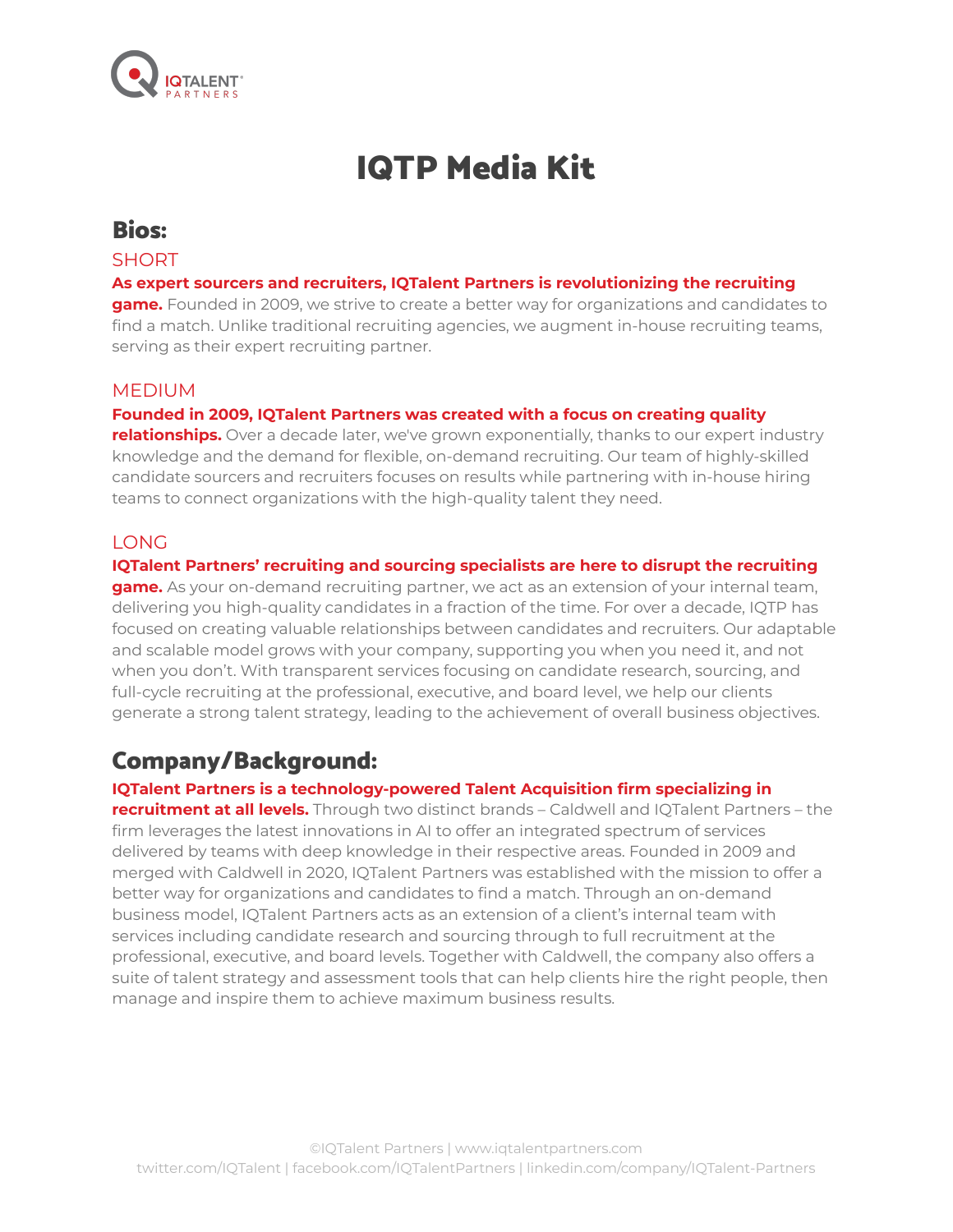

# IQTP Media Kit

### Bios:

### **SHORT**

#### **As expert sourcers and recruiters, IQTalent Partners is revolutionizing the recruiting**

**game.** Founded in 2009, we strive to create a better way for organizations and candidates to find a match. Unlike traditional recruiting agencies, we augment in-house recruiting teams, serving as their expert recruiting partner.

### MEDIUM

#### **Founded in 2009, IQTalent Partners was created with a focus on creating quality**

**relationships.** Over a decade later, we've grown exponentially, thanks to our expert industry knowledge and the demand for flexible, on-demand recruiting. Our team of highly-skilled candidate sourcers and recruiters focuses on results while partnering with in-house hiring teams to connect organizations with the high-quality talent they need.

#### LONG

#### **IQTalent Partners' recruiting and sourcing specialists are here to disrupt the recruiting**

**game.** As your on-demand recruiting partner, we act as an extension of your internal team, delivering you high-quality candidates in a fraction of the time. For over a decade, IQTP has focused on creating valuable relationships between candidates and recruiters. Our adaptable and scalable model grows with your company, supporting you when you need it, and not when you don't. With transparent services focusing on candidate research, sourcing, and full-cycle recruiting at the professional, executive, and board level, we help our clients generate a strong talent strategy, leading to the achievement of overall business objectives.

### Company/Background:

#### **IQTalent Partners is a technology-powered Talent Acquisition firm specializing in**

**recruitment at all levels.** Through two distinct brands – Caldwell and IQTalent Partners – the firm leverages the latest innovations in AI to offer an integrated spectrum of services delivered by teams with deep knowledge in their respective areas. Founded in 2009 and merged with Caldwell in 2020, IQTalent Partners was established with the mission to offer a better way for organizations and candidates to find a match. Through an on-demand business model, IQTalent Partners acts as an extension of a client's internal team with services including candidate research and sourcing through to full recruitment at the professional, executive, and board levels. Together with Caldwell, the company also offers a suite of talent strategy and assessment tools that can help clients hire the right people, then manage and inspire them to achieve maximum business results.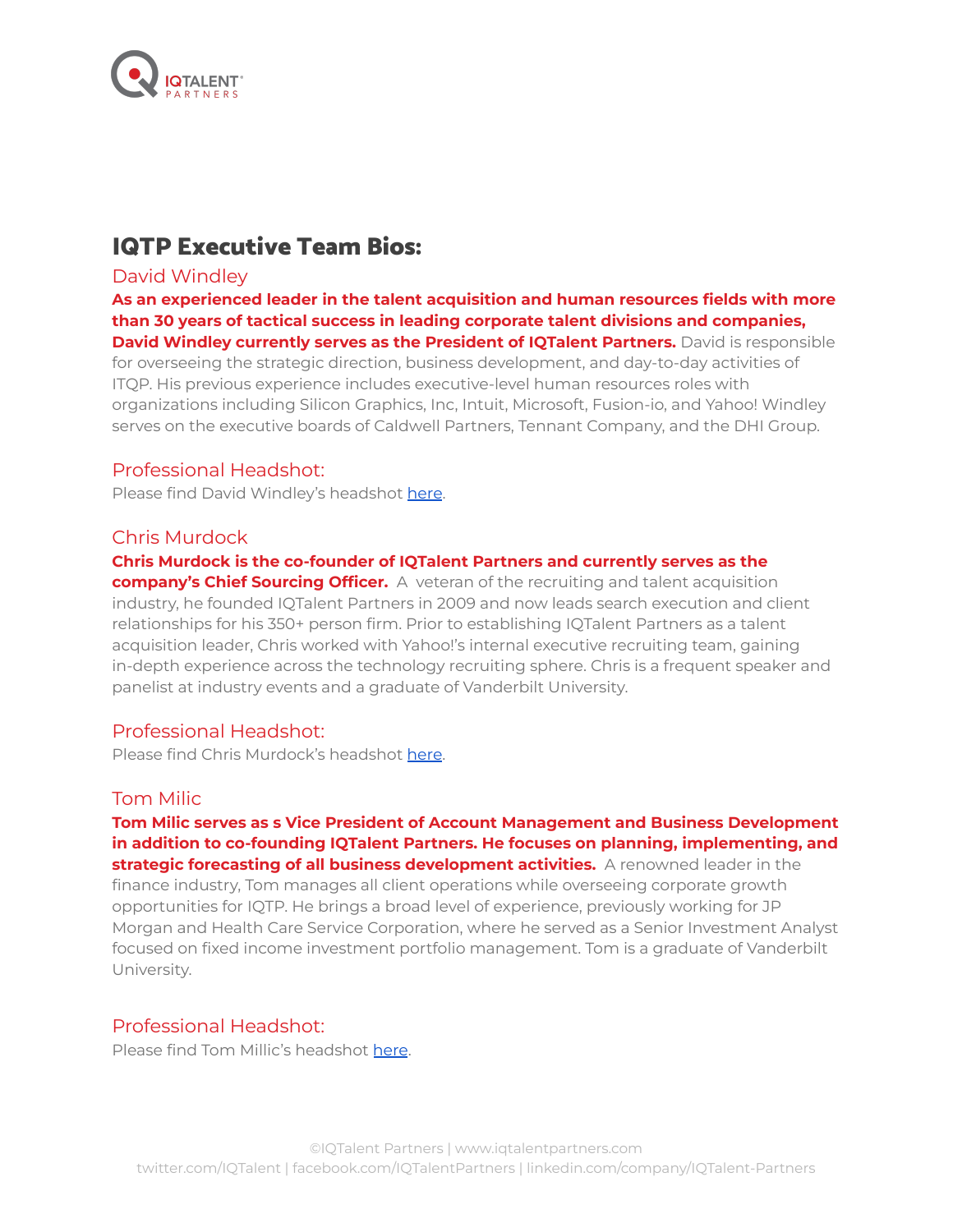

### IQTP Executive Team Bios:

### David Windley

**As an experienced leader in the talent acquisition and human resources fields with more than 30 years of tactical success in leading corporate talent divisions and companies, David Windley currently serves as the President of IQTalent Partners.** David is responsible for overseeing the strategic direction, business development, and day-to-day activities of ITQP. His previous experience includes executive-level human resources roles with organizations including Silicon Graphics, Inc, Intuit, Microsoft, Fusion-io, and Yahoo! Windley serves on the executive boards of Caldwell Partners, Tennant Company, and the DHI Group.

### Professional Headshot:

Please find David Windley's headshot [here](https://drive.google.com/drive/folders/1wHKGhDPYCRmtX9fgOqW8a4DO3M-Vy7el?usp=sharing).

#### Chris Murdock

### **Chris Murdock is the co-founder of IQTalent Partners and currently serves as the**

**company's Chief Sourcing Officer.** A veteran of the recruiting and talent acquisition industry, he founded IQTalent Partners in 2009 and now leads search execution and client relationships for his 350+ person firm. Prior to establishing IQTalent Partners as a talent acquisition leader, Chris worked with Yahoo!'s internal executive recruiting team, gaining in-depth experience across the technology recruiting sphere. Chris is a frequent speaker and panelist at industry events and a graduate of Vanderbilt University.

### Professional Headshot:

Please find Chris Murdock's headshot [here](https://drive.google.com/drive/folders/1ZqpqinqDsZb17Utibl09kHwnYAoziVL0?usp=sharing).

#### Tom Milic

#### **Tom Milic serves as s Vice President of Account Management and Business Development in addition to co-founding IQTalent Partners. He focuses on planning, implementing, and strategic forecasting of all business development activities.** A renowned leader in the

finance industry, Tom manages all client operations while overseeing corporate growth opportunities for IQTP. He brings a broad level of experience, previously working for JP Morgan and Health Care Service Corporation, where he served as a Senior Investment Analyst focused on fixed income investment portfolio management. Tom is a graduate of Vanderbilt University.

#### Professional Headshot:

Please find Tom Millic's headshot [here](https://drive.google.com/drive/folders/1wUYXRgBR1Y7EXAOxxXAHjSqqUVp_S9Cb?usp=sharing).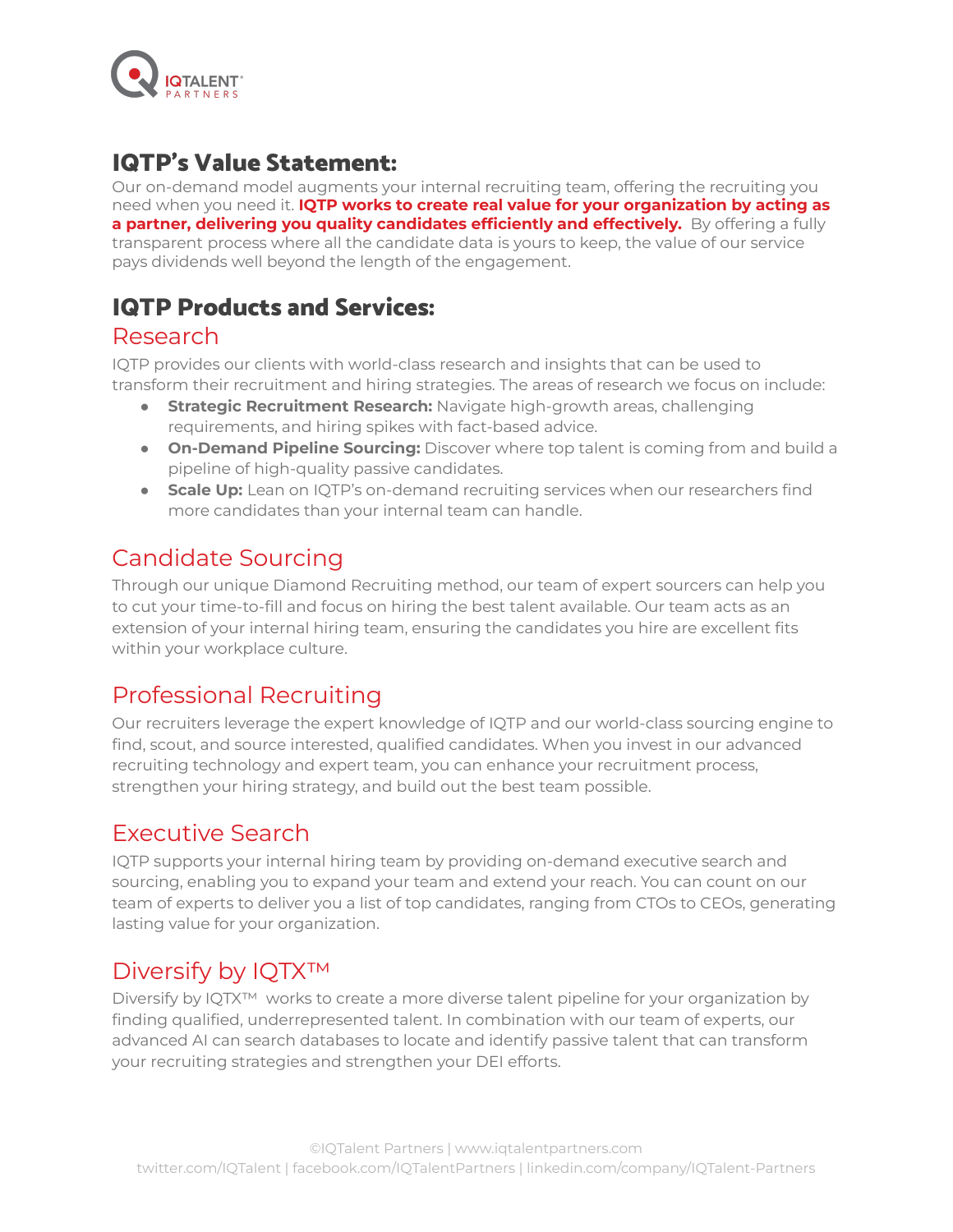

### IQTP's Value Statement:

Our on-demand model augments your internal recruiting team, offering the recruiting you need when you need it. **IQTP works to create real value for your organization by acting as a partner, delivering you quality candidates efficiently and effectively.** By offering a fully transparent process where all the candidate data is yours to keep, the value of our service pays dividends well beyond the length of the engagement.

### IQTP Products and Services:

### Research

IQTP provides our clients with world-class research and insights that can be used to transform their recruitment and hiring strategies. The areas of research we focus on include:

- **Strategic Recruitment Research:** Navigate high-growth areas, challenging requirements, and hiring spikes with fact-based advice.
- **On-Demand Pipeline Sourcing:** Discover where top talent is coming from and build a pipeline of high-quality passive candidates.
- **Scale Up:** Lean on IQTP's on-demand recruiting services when our researchers find more candidates than your internal team can handle.

# Candidate Sourcing

Through our unique Diamond Recruiting method, our team of expert sourcers can help you to cut your time-to-fill and focus on hiring the best talent available. Our team acts as an extension of your internal hiring team, ensuring the candidates you hire are excellent fits within your workplace culture.

# Professional Recruiting

Our recruiters leverage the expert knowledge of IQTP and our world-class sourcing engine to find, scout, and source interested, qualified candidates. When you invest in our advanced recruiting technology and expert team, you can enhance your recruitment process, strengthen your hiring strategy, and build out the best team possible.

# Executive Search

IQTP supports your internal hiring team by providing on-demand executive search and sourcing, enabling you to expand your team and extend your reach. You can count on our team of experts to deliver you a list of top candidates, ranging from CTOs to CEOs, generating lasting value for your organization.

# Diversify by IQTX™

Diversify by IQTX™ works to create a more diverse talent pipeline for your organization by finding qualified, underrepresented talent. In combination with our team of experts, our advanced AI can search databases to locate and identify passive talent that can transform your recruiting strategies and strengthen your DEI efforts.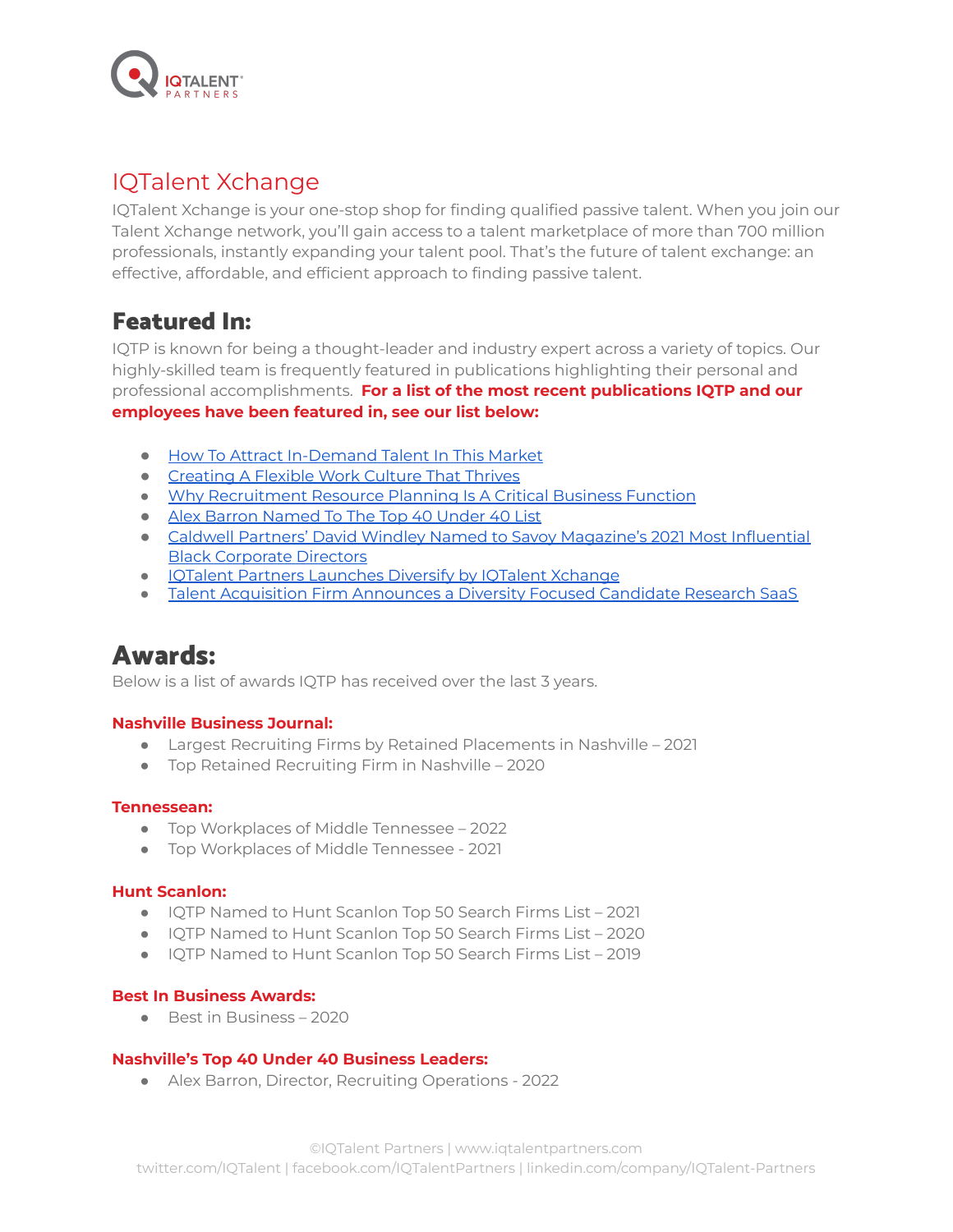

### IQTalent Xchange

IQTalent Xchange is your one-stop shop for finding qualified passive talent. When you join our Talent Xchange network, you'll gain access to a talent marketplace of more than 700 million professionals, instantly expanding your talent pool. That's the future of talent exchange: an effective, affordable, and efficient approach to finding passive talent.

### Featured In:

IQTP is known for being a thought-leader and industry expert across a variety of topics. Our highly-skilled team is frequently featured in publications highlighting their personal and professional accomplishments. **For a list of the most recent publications IQTP and our employees have been featured in, see our list below:**

- How To Attract [In-Demand](https://www.forbes.com/sites/forbeshumanresourcescouncil/2022/04/05/how-to-attract-in-demand-talent-in-a-competitive-market/?utm_content=203521102&utm_medium=social&utm_source=facebook&hss_channel=fbp-1704328459826299&sh=258178e6259f) Talent In This Market
- [Creating](https://www.hr.com/en/magazines/workforce_management_excellence_essentials/february_2022_workforce_management_time_attendance_excellence/creating-a-flexible-work-culture-that-thrives_kzqyh4lq.html?utm_source=email&utm_campaign=&utm_content=creatingaflexibleworkculturethatthrives-email&uid=4349076469) A Flexible Work Culture That Thrives
- Why [Recruitment](https://www.forbes.com/sites/forbeshumanresourcescouncil/2022/01/19/why-recruitment-resource-planning-is-a-critical-business-function/?sh=4c9558a3652e) Resource Planning Is A Critical Business Function
- Alex Barron [Named](https://blog.iqtalentpartners.com/nashville-business-journal-40-under-40-iqtalent-partners) To The Top 40 Under 40 List
- Caldwell Partners' David Windley Named to Savoy [Magazine's](https://huntscanlon.com/caldwell-partners-david-windley-named-to-savoy-magazines-2021-most-influential-black-corporate-directors/) 2021 Most Influential Black [Corporate](https://huntscanlon.com/caldwell-partners-david-windley-named-to-savoy-magazines-2021-most-influential-black-corporate-directors/) Directors
- IQTalent Partners [Launches](https://huntscanlon.com/iqtalent-partners-launches-diversify-by-iqtalent-xchange/) Diversify by IQTalent Xchange
- Talent Acquisition Firm [Announces](https://www.prnewswire.com/news-releases/talent-acquisition-firm-announces-a-diversity-focused-candidate-research-saas-301378950.html) a Diversity Focused Candidate Research SaaS

# Awards:

Below is a list of awards IQTP has received over the last 3 years.

#### **Nashville Business Journal:**

- Largest Recruiting Firms by Retained Placements in Nashville 2021
- Top Retained Recruiting Firm in Nashville 2020

#### **Tennessean:**

- Top Workplaces of Middle Tennessee 2022
- Top Workplaces of Middle Tennessee 2021

#### **Hunt Scanlon:**

- IQTP Named to Hunt Scanlon Top 50 Search Firms List 2021
- IQTP Named to Hunt Scanlon Top 50 Search Firms List 2020
- IQTP Named to Hunt Scanlon Top 50 Search Firms List 2019

#### **Best In Business Awards:**

● Best in Business – 2020

#### **Nashville's Top 40 Under 40 Business Leaders:**

● Alex Barron, Director, Recruiting Operations - 2022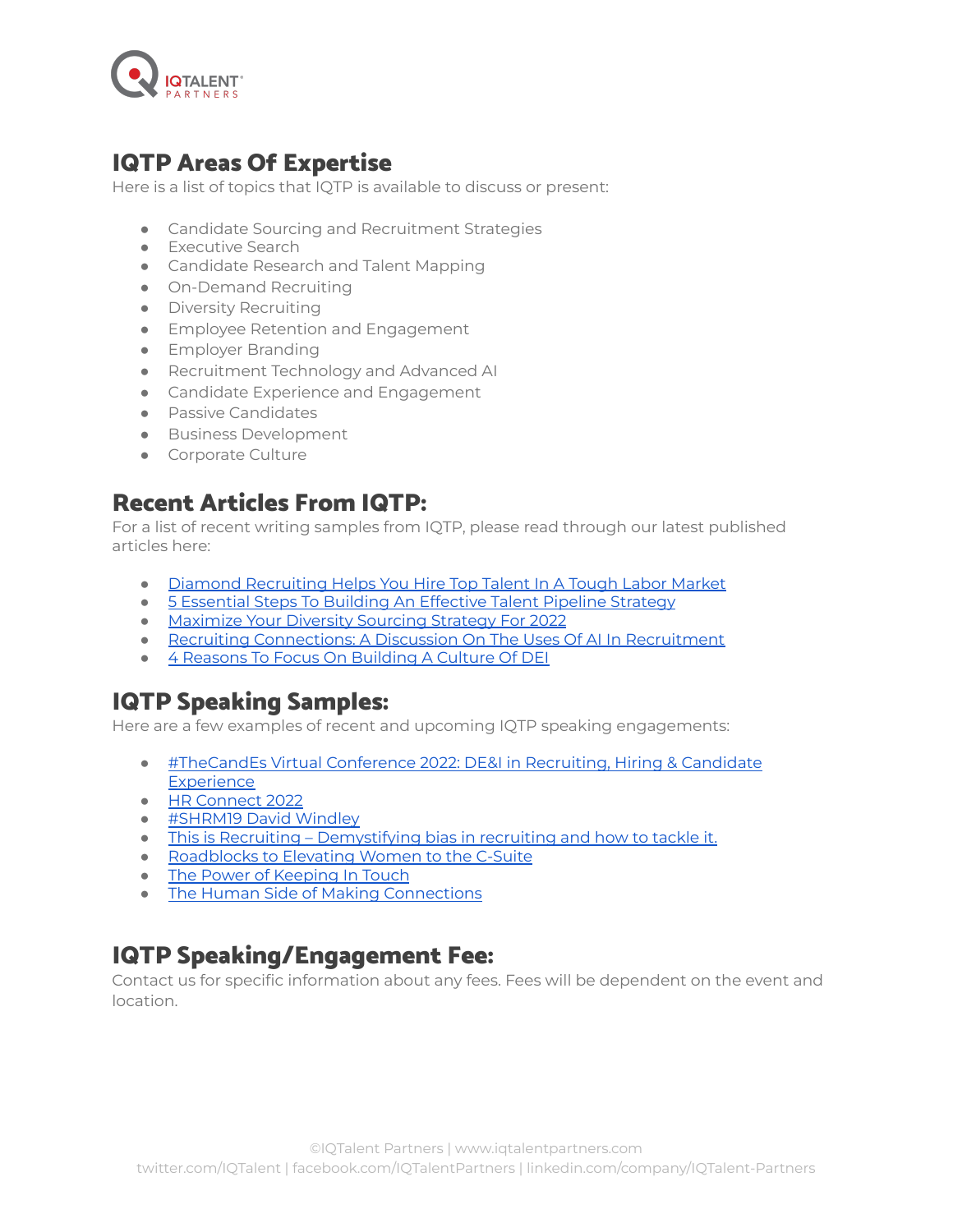

### IQTP Areas Of Expertise

Here is a list of topics that IQTP is available to discuss or present:

- Candidate Sourcing and Recruitment Strategies
- Executive Search
- Candidate Research and Talent Mapping
- On-Demand Recruiting
- Diversity Recruiting
- **•** Employee Retention and Engagement
- **•** Employer Branding
- Recruitment Technology and Advanced AI
- Candidate Experience and Engagement
- Passive Candidates
- Business Development
- Corporate Culture

### Recent Articles From IQTP:

For a list of recent writing samples from IQTP, please read through our latest published articles here:

- Diamond [Recruiting](https://blog.iqtalentpartners.com/diamond-recruiting-tough-labor-markets) Helps You Hire Top Talent In A Tough Labor Market
- 5 [Essential](https://blog.iqtalentpartners.com/essential-steps-building-effective-talent-pipeline) Steps To Building An Effective Talent Pipeline Strategy
- [Maximize](https://blog.iqtalentpartners.com/maximize-diversity-sourcing-strategy) Your Diversity Sourcing Strategy For 2022
- Recruiting [Connections:](https://blog.iqtalentpartners.com/recruiting-connections-using-ai-in-recruitment) A Discussion On The Uses Of AI In Recruitment
- 4 Reasons To Focus On [Building](https://blog.iqtalentpartners.com/reasons-to-focus-building-culture-of-dei) A Culture Of DEI

# IQTP Speaking Samples:

Here are a few examples of recent and upcoming IQTP speaking engagements:

- [#TheCandEs](https://www.thetalentboard.org/events/thecandes-virtual-conference-2022-dei-in-recruiting-hiring-candidate-experience/) Virtual Conference 2022: DE&I in Recruiting, Hiring & Candidate **[Experience](https://www.thetalentboard.org/events/thecandes-virtual-conference-2022-dei-in-recruiting-hiring-candidate-experience/)**
- HR [Connect](https://store.blr.com/hr-connect) 2022
- [#SHRM19](https://www.youtube.com/watch?v=-DTVWfiY1Ag&t=1s) David Windley
- This is Recruiting [Demystifying](https://www.hackerearth.com/blog/talent-assessment/demystifying-bias/) bias in recruiting and how to tackle it.
- [Roadblocks](https://www.youtube.com/watch?v=zlUSpmjamgg) to Elevating Women to the C-Suite
- The Power of [Keeping](https://www.youtube.com/watch?v=hX3yrGXRN_I) In Touch
- The Human Side of Making [Connections](https://www.youtube.com/watch?v=xfYVaOJRkV4)

### IQTP Speaking/Engagement Fee:

Contact us for specific information about any fees. Fees will be dependent on the event and location.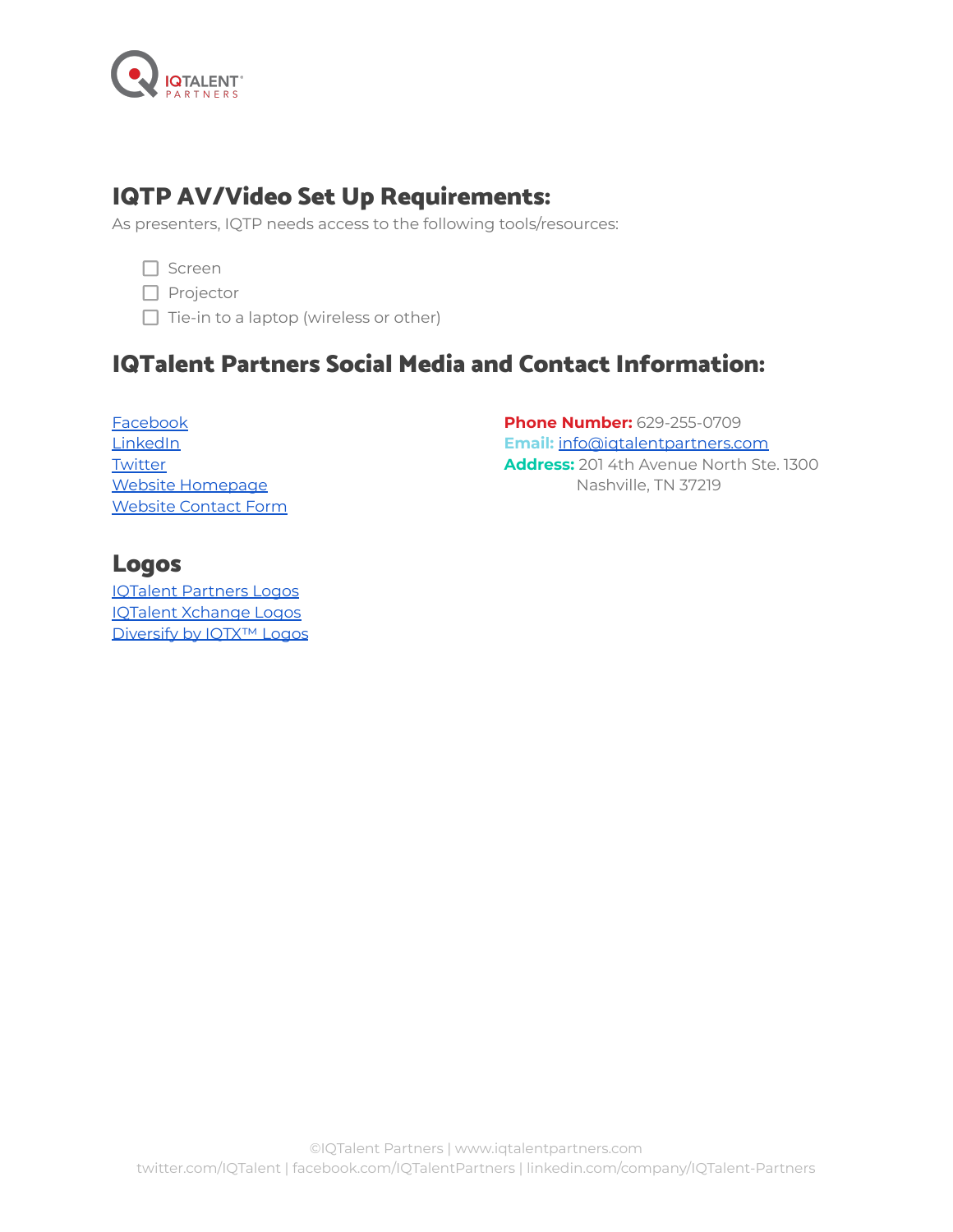

# IQTP AV/Video Set Up Requirements:

As presenters, IQTP needs access to the following tools/resources:

- $\Box$  Screen
- $\Box$  Projector
- $\Box$  Tie-in to a laptop (wireless or other)

# IQTalent Partners Social Media and Contact Information:

[Facebook](https://www.facebook.com/IQTalentPartners) **[LinkedIn](https://www.linkedin.com/company/iqtalent-partners/) [Twitter](http://iqtalent/)** Website [Homepage](https://www.iqtalentpartners.com/) [Website](https://www.iqtalentpartners.com/contact/) Contact Form

**Phone Number:** 629-255-0709 **Email:** [info@iqtalentpartners.com](mailto:info@iqtalentpartners.com) **Address:** 201 4th Avenue North Ste. 1300 Nashville, TN 37219

### Logos

IQTalent [Partners](https://drive.google.com/drive/folders/1weAQuITn8KIlHndCIHt6tO6NxhPmgHHv?usp=sharing) Logos IQTalent [Xchange](https://drive.google.com/drive/folders/1wqUwWYa0p9l0tsOEgcy-LFOKcSoQRM18?usp=sharing) Logos [Diversify](https://drive.google.com/drive/folders/1x0faEVl6Qal79Xp2qzvBO6gD5yDxSUFY?usp=sharing) by IOTX<sup>™</sup> Logos